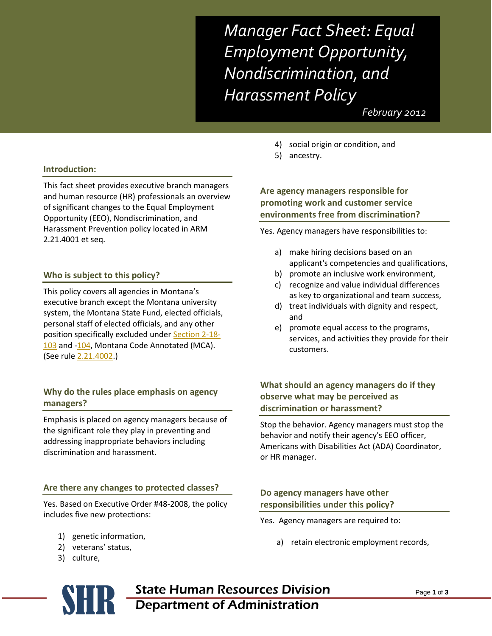*Manager Fact Sheet: Equal Employment Opportunity, Nondiscrimination, and Harassment Policy*

 *February 2012*

#### **Introduction:**

This fact sheet provides executive branch managers and human resource (HR) professionals an overview of significant changes to the Equal Employment Opportunity (EEO), Nondiscrimination, and Harassment Prevention policy located in ARM 2.21.4001 et seq.

#### **Who is subject to this policy?**

This policy covers all agencies in Montana's executive branch except the Montana university system, the Montana State Fund, elected officials, personal staff of elected officials, and any other position specifically excluded unde[r Section 2-18-](http://data.opi.mt.gov/bills/mca/2/18/2-18-103.htm) [103](http://data.opi.mt.gov/bills/mca/2/18/2-18-103.htm) and [-104,](http://data.opi.mt.gov/bills/mca/2/18/2-18-104.htm) Montana Code Annotated (MCA). (See rule [2.21.4002.](http://www.mtrules.org/gateway/ruleno.asp?RN=2%2E21%2E4002))

## **Why do the rules place emphasis on agency managers?**

Emphasis is placed on agency managers because of the significant role they play in preventing and addressing inappropriate behaviors including discrimination and harassment.

#### **Are there any changes to protected classes?**

Yes. Based on Executive Order #48-2008, the policy includes five new protections:

- 1) genetic information,
- 2) veterans' status,
- 3) culture,
- 4) social origin or condition, and
- 5) ancestry.

# **Are agency managers responsible for promoting work and customer service environments free from discrimination?**

Yes. Agency managers have responsibilities to:

- a) make hiring decisions based on an applicant's competencies and qualifications,
- b) promote an inclusive work environment,
- c) recognize and value individual differences as key to organizational and team success,
- d) treat individuals with dignity and respect, and
- e) promote equal access to the programs, services, and activities they provide for their customers.

## **What should an agency managers do if they observe what may be perceived as discrimination or harassment?**

Stop the behavior. Agency managers must stop the behavior and notify their agency's EEO officer, Americans with Disabilities Act (ADA) Coordinator, or HR manager.

## **Do agency managers have other responsibilities under this policy?**

- Yes. Agency managers are required to:
	- a) retain electronic employment records,
- **SER State Human Resources Division**<br>Department of Administration Department of Administration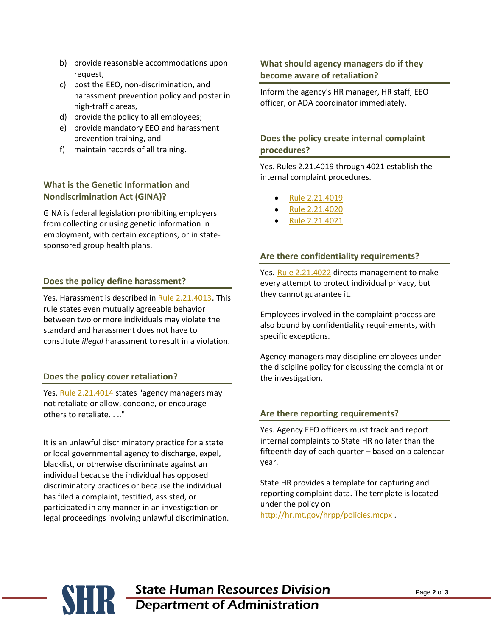- b) provide reasonable accommodations upon request,
- c) post the EEO, non-discrimination, and harassment prevention policy and poster in high-traffic areas,
- d) provide the policy to all employees;
- e) provide mandatory EEO and harassment prevention training, and
- f) maintain records of all training.

# **What is the Genetic Information and Nondiscrimination Act (GINA)?**

GINA is federal legislation prohibiting employers from collecting or using genetic information in employment, with certain exceptions, or in statesponsored group health plans.

## **Does the policy define harassment?**

Yes[. Harassment is described in Rule 2.21.4013](http://www.mtrules.org/gateway/RuleNo.asp?RN=2%2E21%2E4013). This rule states even mutually agreeable behavior between two or more individuals may violate the standard and harassment does not have to constitute *illegal* harassment to result in a violation.

### **Does the policy cover retaliation?**

Yes[. Rule 2.21.4014](http://www.mtrules.org/gateway/RuleNo.asp?RN=2%2E21%2E4014) states "agency managers may not retaliate or allow, condone, or encourage others to retaliate. . .."

It is an unlawful discriminatory practice for a state or local governmental agency to discharge, expel, blacklist, or otherwise discriminate against an individual because the individual has opposed discriminatory practices or because the individual has filed a complaint, testified, assisted, or participated in any manner in an investigation or legal proceedings involving unlawful discrimination.

## **What should agency managers do if they become aware of retaliation?**

Inform the agency's HR manager, HR staff, EEO officer, or ADA coordinator immediately.

# **Does the policy create internal complaint procedures?**

Yes. Rules 2.21.4019 through 4021 establish the internal complaint procedures.

- [Rule 2.21.4019](http://www.mtrules.org/gateway/RuleNo.asp?RN=2%2E21%2E4019)
- [Rule 2.21.4020](http://www.mtrules.org/gateway/RuleNo.asp?RN=2%2E21%2E4020)
- [Rule 2.21.4021](http://www.mtrules.org/gateway/RuleNo.asp?RN=2%2E21%2E4021)

### **Are there confidentiality requirements?**

Yes. [Rule 2.21.4022](http://www.mtrules.org/gateway/RuleNo.asp?RN=2%2E21%2E4022) directs management to make every attempt to protect individual privacy, but they cannot guarantee it.

Employees involved in the complaint process are also bound by confidentiality requirements, with specific exceptions.

Agency managers may discipline employees under the discipline policy for discussing the complaint or the investigation.

### **Are there reporting requirements?**

Yes. Agency EEO officers must track and report internal complaints to State HR no later than the fifteenth day of each quarter – based on a calendar year.

State HR provides a template for capturing and reporting complaint data. The template is located under the policy on <http://hr.mt.gov/hrpp/policies.mcpx> .

# **SER State Human Resources Division**<br>Department of Administration Department of Administration